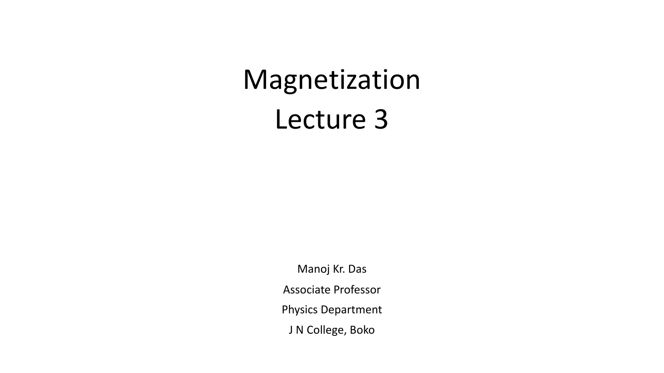# Magnetization Lecture 3

Manoj Kr. Das Associate Professor Physics Department J N College, Boko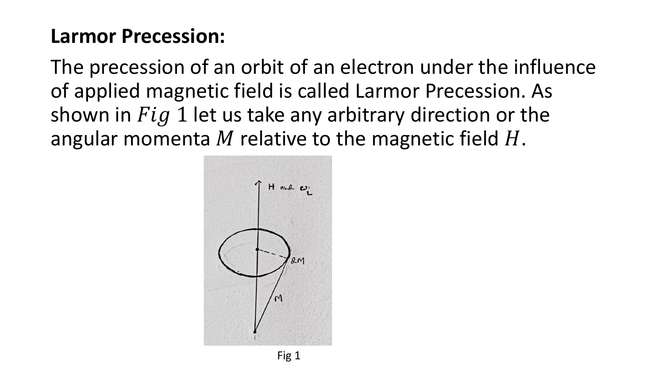#### **Larmor Precession:**

The precession of an orbit of an electron under the influence of applied magnetic field is called Larmor Precession. As shown in  $Fig 1$  let us take any arbitrary direction or the angular momenta M relative to the magnetic field  $H$ .

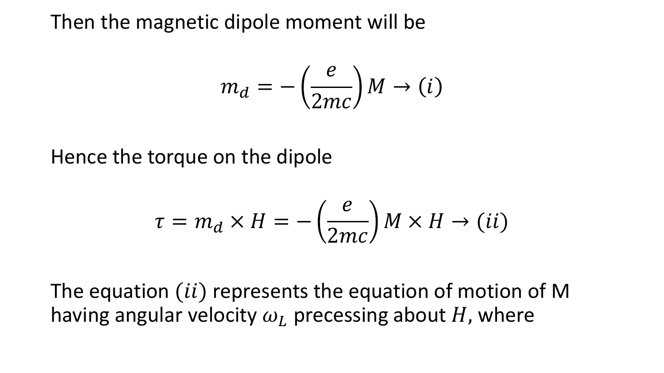Then the magnetic dipole moment will be

$$
m_d = -\left(\frac{e}{2mc}\right)M \to (i)
$$

Hence the torque on the dipole

$$
\tau = m_d \times H = -\left(\frac{e}{2mc}\right)M \times H \to (ii)
$$

The equation  $(ii)$  represents the equation of motion of M having angular velocity  $\omega_L$  precessing about H, where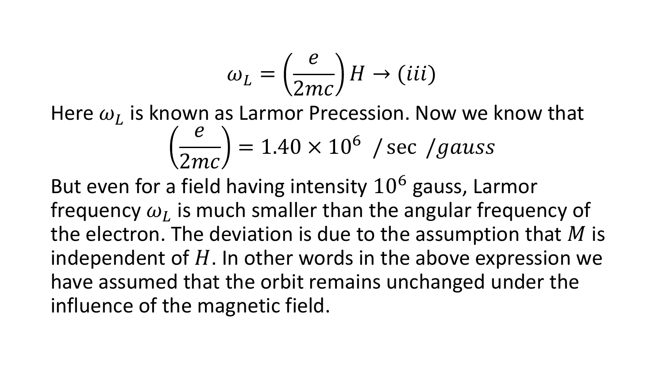$$
\omega_L = \left(\frac{e}{2mc}\right)H \to (iii)
$$

Here  $\omega_L$  is known as Larmor Precession. Now we know that  $\vec{e}$ 2mc  $= 1.40 \times 10^6$  / sec /gauss

But even for a field having intensity  $10^6$  gauss, Larmor frequency  $\omega_L$  is much smaller than the angular frequency of the electron. The deviation is due to the assumption that  $M$  is independent of  $H$ . In other words in the above expression we have assumed that the orbit remains unchanged under the influence of the magnetic field.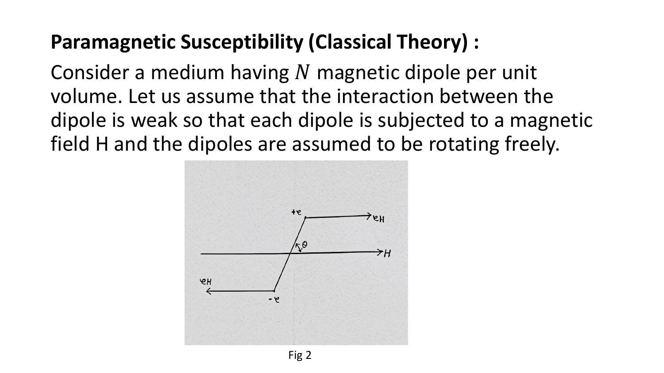## **Paramagnetic Susceptibility (Classical Theory) :**

Consider a medium having N magnetic dipole per unit volume. Let us assume that the interaction between the dipole is weak so that each dipole is subjected to a magnetic field H and the dipoles are assumed to be rotating freely.

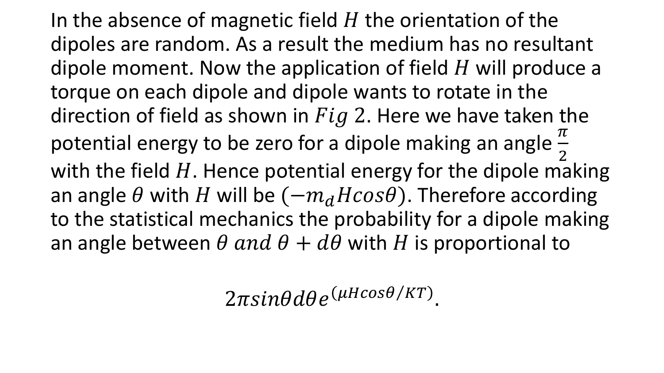In the absence of magnetic field  $H$  the orientation of the dipoles are random. As a result the medium has no resultant dipole moment. Now the application of field  $H$  will produce a torque on each dipole and dipole wants to rotate in the direction of field as shown in  $Fig 2$ . Here we have taken the potential energy to be zero for a dipole making an angle  $\frac{\pi}{2}$ 2 with the field  $H$ . Hence potential energy for the dipole making an angle  $\theta$  with H will be  $(-m_d H cos \theta)$ . Therefore according to the statistical mechanics the probability for a dipole making an angle between  $\theta$  and  $\theta + d\theta$  with H is proportional to

 $2\pi sin\theta d\theta e^{(\mu H cos\theta/KT)}$ .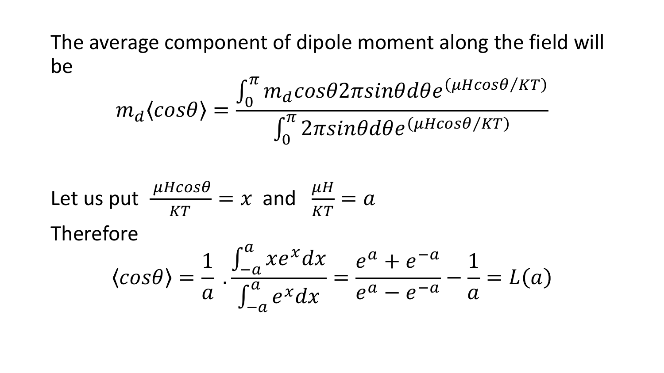#### The average component of dipole moment along the field will be

$$
m_d \langle cos\theta \rangle = \frac{\int_0^{\pi} m_d cos\theta 2\pi sin\theta d\theta e^{(\mu H cos\theta/KT)}}{\int_0^{\pi} 2\pi sin\theta d\theta e^{(\mu H cos\theta/KT)}}
$$

Let us put 
$$
\frac{\mu H cos \theta}{KT} = x
$$
 and  $\frac{\mu H}{KT} = a$   
\nTherefore  
\n
$$
\langle cos \theta \rangle = \frac{1}{a} \cdot \frac{\int_{-a}^{a} x e^{x} dx}{\int_{-a}^{a} e^{x} dx} = \frac{e^{a} + e^{-a}}{e^{a} - e^{-a}} - \frac{1}{a} = L(a)
$$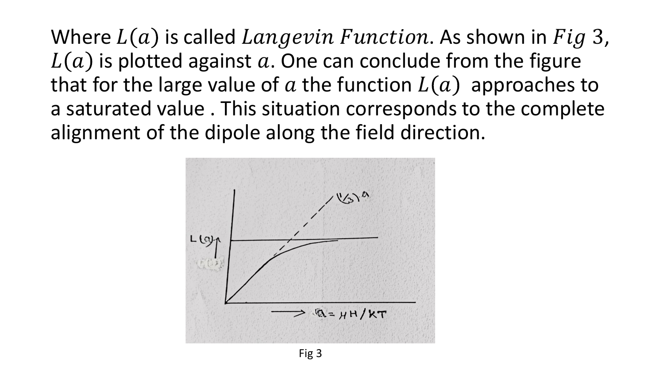Where  $L(a)$  is called  $Langevin Function$ . As shown in  $Fig 3$ ,  $L(a)$  is plotted against a. One can conclude from the figure that for the large value of a the function  $L(a)$  approaches to a saturated value . This situation corresponds to the complete alignment of the dipole along the field direction.

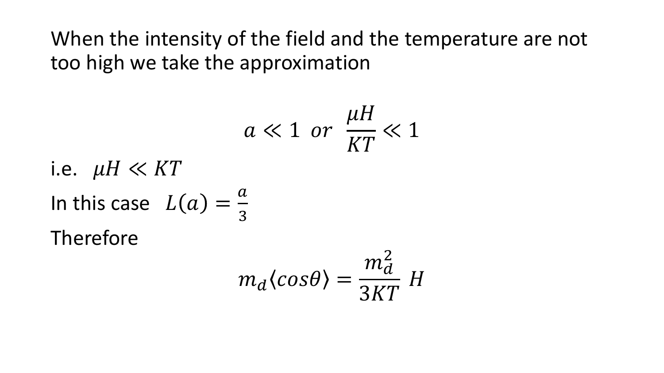When the intensity of the field and the temperature are not too high we take the approximation

$$
a\ll 1 \ \ or \ \ \frac{\mu H}{KT}\ll 1
$$

i.e.  $\mu H \ll KT$ 

In this case 
$$
L(a) = \frac{a}{3}
$$

Therefore

$$
m_d \langle \cos \theta \rangle = \frac{m_d^2}{3KT} H
$$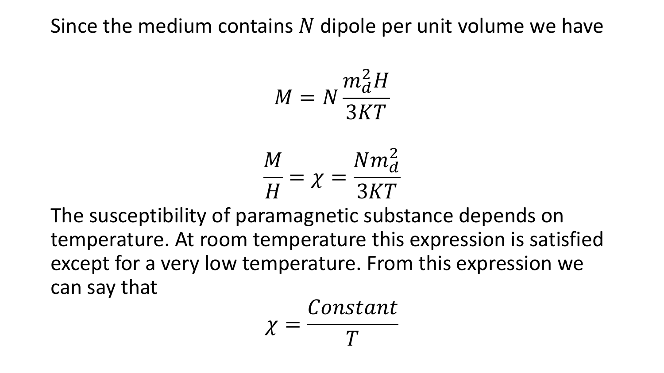#### Since the medium contains  $N$  dipole per unit volume we have

$$
M = N \frac{m_d^2 H}{3KT}
$$

$$
\frac{M}{H} = \chi = \frac{N m_d^2}{3KT}
$$

The susceptibility of paramagnetic substance depends on temperature. At room temperature this expression is satisfied except for a very low temperature. From this expression we can say that

$$
\chi = \frac{Constant}{T}
$$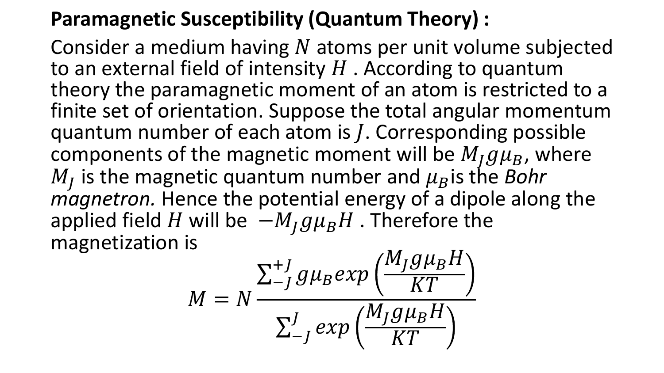### **Paramagnetic Susceptibility (Quantum Theory) :**

Consider a medium having  $N$  atoms per unit volume subjected to an external field of intensity  $H$ . According to quantum theory the paramagnetic moment of an atom is restricted to a finite set of orientation. Suppose the total angular momentum quantum number of each atom is  $J$ . Corresponding possible components of the magnetic moment will be  $M_{I}g\mu_{B}$ , where  $M_J$  is the magnetic quantum number and  $\mu_B$  is the *Bohr magnetron.* Hence the potential energy of a dipole along the applied field H will be  $-M_I g\mu_B H$ . Therefore the magnetization is

$$
M = N \frac{\sum_{-J}^{+J} g \mu_B exp\left(\frac{M_J g \mu_B H}{KT}\right)}{\sum_{-J}^{J} exp\left(\frac{M_J g \mu_B H}{KT}\right)}
$$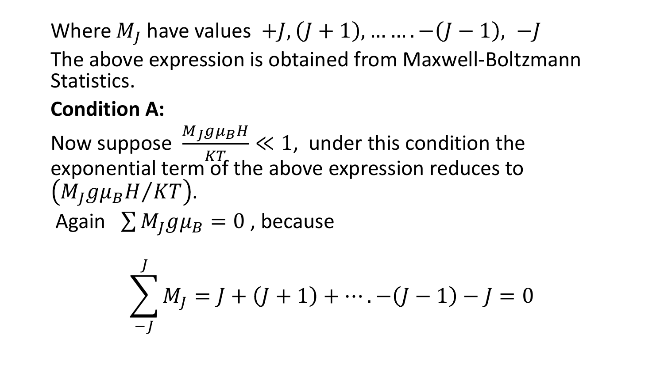Where  $M_l$  have values  $+J$ ,  $(J + 1)$ , … …  $-(J - 1)$ ,  $-J$ The above expression is obtained from Maxwell-Boltzmann Statistics.

## **Condition A:**

Now suppose  $M_J g\mu_B H$  $KT$  $\ll 1$ , under this condition the exponential term of the above expression reduces to  $(M_I g \mu_B H / KT).$ Again  $\sum M_{I}g\mu_{B}=0$ , because

$$
\sum_{-J}^{J} M_J = J + (J + 1) + \dots - (J - 1) - J = 0
$$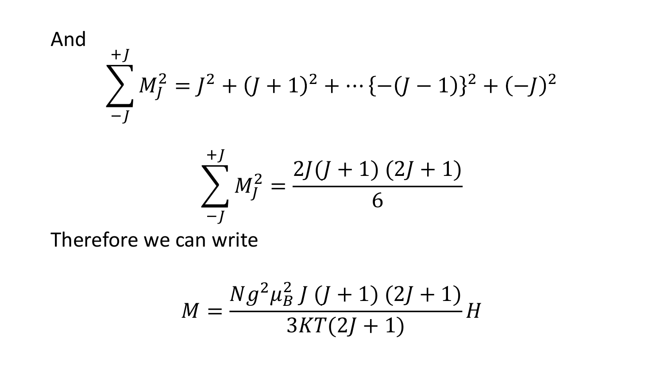And  
\n
$$
\sum_{-J}^{+J} M_J^2 = J^2 + (J+1)^2 + \dots + (- (J-1))^2 + (-J)^2
$$
\n
$$
\sum_{-J}^{+J} M_J^2 = \frac{2J(J+1)(2J+1)}{6}
$$

Therefore we can write

$$
M = \frac{Ng^2\mu_B^2 J (J + 1) (2J + 1)}{3KT(2J + 1)} H
$$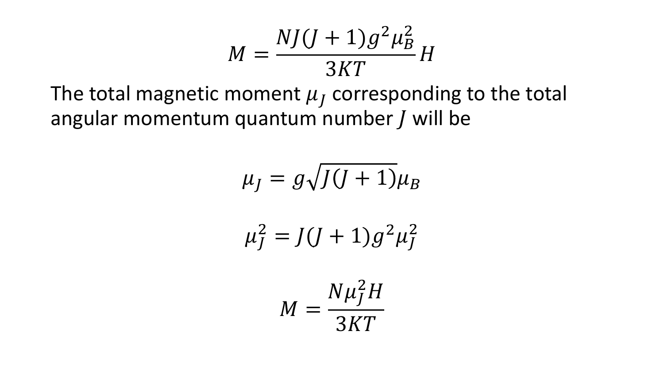$$
M = \frac{NJ(J+1)g^2\mu_B^2}{3KT}H
$$

The total magnetic moment  $\mu_j$  corresponding to the total angular momentum quantum number  $J$  will be

$$
\mu_J = g \sqrt{J(J+1)} \mu_B
$$

$$
\mu_J^2 = J(J+1)g^2 \mu_J^2
$$

$$
M = \frac{N\mu_J^2 H}{3KT}
$$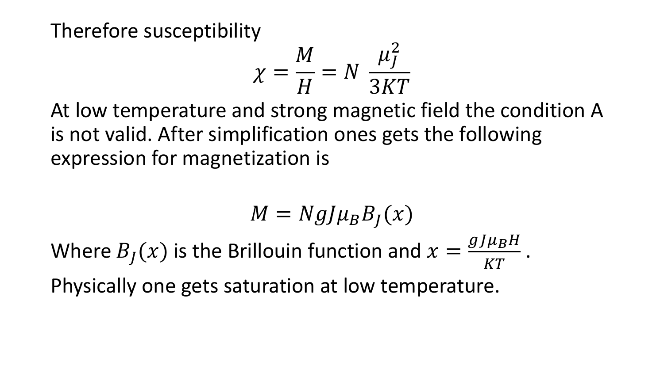Therefore susceptibility

$$
\chi = \frac{M}{H} = N \frac{\mu_J^2}{3KT}
$$

At low temperature and strong magnetic field the condition A is not valid. After simplification ones gets the following expression for magnetization is

$$
M = NgJ\mu_B B_J(x)
$$
  
Where  $B_J(x)$  is the Brillouin function and  $x = \frac{gJ\mu_B H}{KT}$ .  
Physically one gets saturation at low temperature.